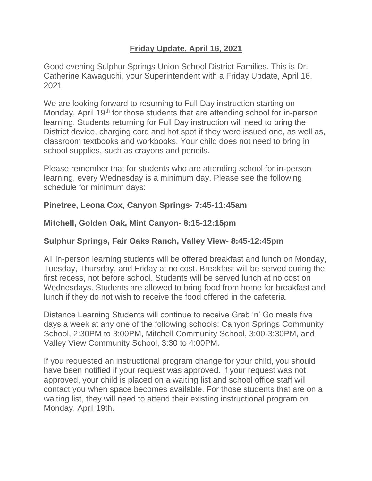## **Friday Update, April 16, 2021**

Good evening Sulphur Springs Union School District Families. This is Dr. Catherine Kawaguchi, your Superintendent with a Friday Update, April 16, 2021.

We are looking forward to resuming to Full Day instruction starting on Monday, April 19<sup>th</sup> for those students that are attending school for in-person learning. Students returning for Full Day instruction will need to bring the District device, charging cord and hot spot if they were issued one, as well as, classroom textbooks and workbooks. Your child does not need to bring in school supplies, such as crayons and pencils.

Please remember that for students who are attending school for in-person learning, every Wednesday is a minimum day. Please see the following schedule for minimum days:

## **Pinetree, Leona Cox, Canyon Springs- 7:45-11:45am**

## **Mitchell, Golden Oak, Mint Canyon- 8:15-12:15pm**

## **Sulphur Springs, Fair Oaks Ranch, Valley View- 8:45-12:45pm**

All In-person learning students will be offered breakfast and lunch on Monday, Tuesday, Thursday, and Friday at no cost. Breakfast will be served during the first recess, not before school. Students will be served lunch at no cost on Wednesdays. Students are allowed to bring food from home for breakfast and lunch if they do not wish to receive the food offered in the cafeteria.

Distance Learning Students will continue to receive Grab 'n' Go meals five days a week at any one of the following schools: Canyon Springs Community School, 2:30PM to 3:00PM, Mitchell Community School, 3:00-3:30PM, and Valley View Community School, 3:30 to 4:00PM.

If you requested an instructional program change for your child, you should have been notified if your request was approved. If your request was not approved, your child is placed on a waiting list and school office staff will contact you when space becomes available. For those students that are on a waiting list, they will need to attend their existing instructional program on Monday, April 19th.